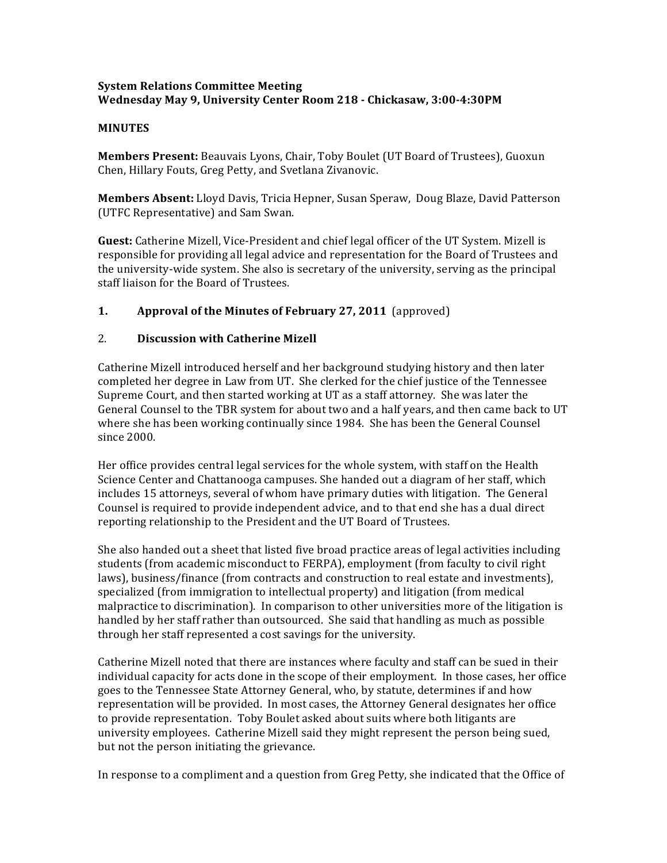### **System'Relations'Committee'Meeting Wednesday May'9,'University'Center'Room'218'; Chickasaw,'3:00;4:30PM**

#### **MINUTES**

**Members Present:** Beauvais Lyons, Chair, Toby Boulet (UT Board of Trustees), Guoxun Chen, Hillary Fouts, Greg Petty, and Svetlana Zivanovic.

**Members Absent:** Lloyd Davis, Tricia Hepner, Susan Speraw, Doug Blaze, David Patterson (UTFC Representative) and Sam Swan.

**Guest:** Catherine Mizell, Vice-President and chief legal officer of the UT System. Mizell is responsible for providing all legal advice and representation for the Board of Trustees and the university-wide system. She also is secretary of the university, serving as the principal staff liaison for the Board of Trustees.

# **1. Approval of the Minutes of February 27, 2011** (approved)

### 2. **Discussion with Catherine Mizell**

Catherine Mizell introduced herself and her background studying history and then later completed her degree in Law from UT. She clerked for the chief justice of the Tennessee Supreme Court, and then started working at UT as a staff attorney. She was later the General Counsel to the TBR system for about two and a half years, and then came back to UT where she has been working continually since 1984. She has been the General Counsel since 2000.

Her office provides central legal services for the whole system, with staff on the Health Science Center and Chattanooga campuses. She handed out a diagram of her staff, which includes 15 attorneys, several of whom have primary duties with litigation. The General Counsel is required to provide independent advice, and to that end she has a dual direct reporting relationship to the President and the UT Board of Trustees.

She also handed out a sheet that listed five broad practice areas of legal activities including students (from academic misconduct to FERPA), employment (from faculty to civil right laws), business/finance (from contracts and construction to real estate and investments), specialized (from immigration to intellectual property) and litigation (from medical malpractice to discrimination). In comparison to other universities more of the litigation is handled by her staff rather than outsourced. She said that handling as much as possible through her staff represented a cost savings for the university.

Catherine Mizell noted that there are instances where faculty and staff can be sued in their individual capacity for acts done in the scope of their employment. In those cases, her office goes to the Tennessee State Attorney General, who, by statute, determines if and how representation will be provided. In most cases, the Attorney General designates her office to provide representation. Toby Boulet asked about suits where both litigants are university employees. Catherine Mizell said they might represent the person being sued, but not the person initiating the grievance.

In response to a compliment and a question from Greg Petty, she indicated that the Office of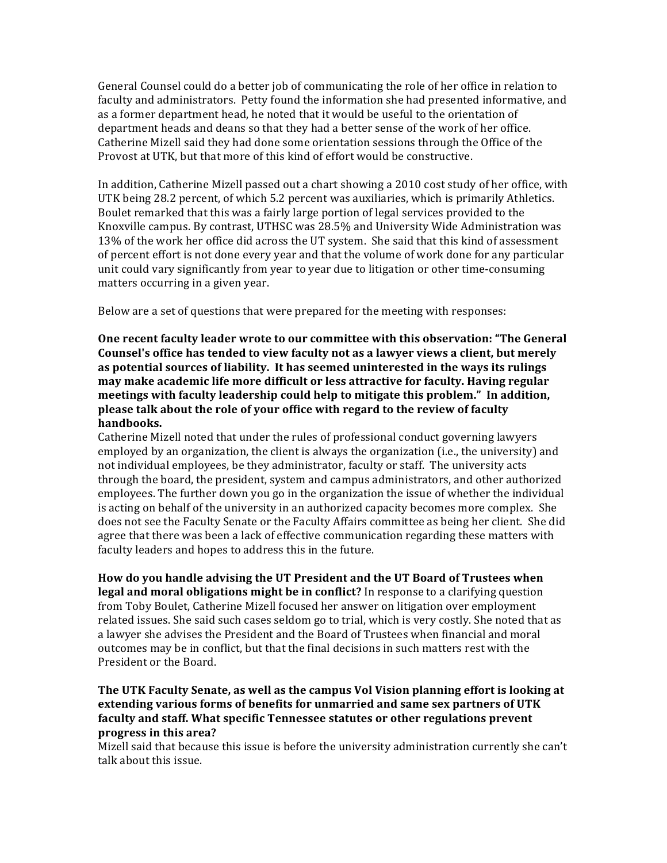General Counsel could do a better job of communicating the role of her office in relation to faculty and administrators. Petty found the information she had presented informative, and as a former department head, he noted that it would be useful to the orientation of department heads and deans so that they had a better sense of the work of her office. Catherine Mizell said they had done some orientation sessions through the Office of the Provost at UTK, but that more of this kind of effort would be constructive.

In addition, Catherine Mizell passed out a chart showing a 2010 cost study of her office, with UTK being 28.2 percent, of which 5.2 percent was auxiliaries, which is primarily Athletics. Boulet remarked that this was a fairly large portion of legal services provided to the Knoxville campus. By contrast, UTHSC was 28.5% and University Wide Administration was 13% of the work her office did across the UT system. She said that this kind of assessment of percent effort is not done every year and that the volume of work done for any particular unit could vary significantly from year to year due to litigation or other time-consuming matters occurring in a given year.

Below are a set of questions that were prepared for the meeting with responses:

**One recent faculty leader wrote to our committee with this observation: "The General'** Counsel's office has tended to view faculty not as a lawyer views a client, but merely **as'potential'sources'of'liability.' It'has'seemed'uninterested'in'the'ways'its'rulings' may'make'academic'life'more'difficult'or'less'attractive'for'faculty.'Having'regular'** meetings with faculty leadership could help to mitigate this problem." In addition, **please'talk'about'the'role'of'your'office'with'regard'to'the'review'of'faculty' handbooks.**

Catherine Mizell noted that under the rules of professional conduct governing lawyers employed by an organization, the client is always the organization (i.e., the university) and not individual employees, be they administrator, faculty or staff. The university acts through the board, the president, system and campus administrators, and other authorized employees. The further down you go in the organization the issue of whether the individual is acting on behalf of the university in an authorized capacity becomes more complex. She does not see the Faculty Senate or the Faculty Affairs committee as being her client. She did agree that there was been a lack of effective communication regarding these matters with faculty leaders and hopes to address this in the future.

**How'do'you'handle'advising'the'UT'President'and'the'UT'Board'of'Trustees'when' legal and moral obligations might be in conflict?** In response to a clarifying question from Toby Boulet, Catherine Mizell focused her answer on litigation over employment related issues. She said such cases seldom go to trial, which is very costly. She noted that as a lawyer she advises the President and the Board of Trustees when financial and moral outcomes may be in conflict, but that the final decisions in such matters rest with the President or the Board.

The UTK Faculty Senate, as well as the campus Vol Vision planning effort is looking at **extending'various'forms'of'benefits'for'unmarried'and'same'sex'partners'of'UTK' faculty'and'staff.'What'specific'Tennessee'statutes'or'other regulations'prevent' progress'in'this'area?**

Mizell said that because this issue is before the university administration currently she can't talk about this issue.